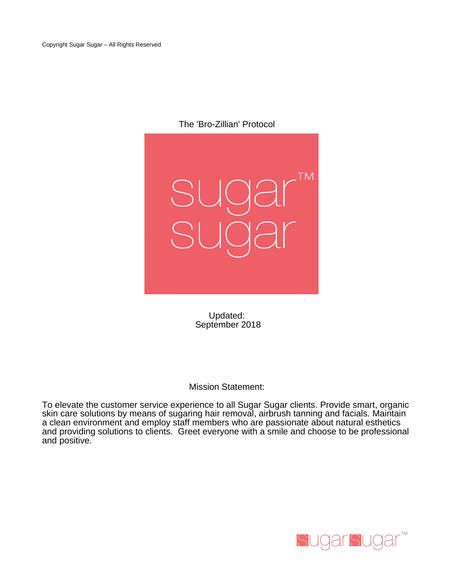The 'Bro-Zillian' Protocol



Updated: September 2018

Mission Statement:

To elevate the customer service experience to all Sugar Sugar clients. Provide smart, organic skin care solutions by means of sugaring hair removal, airbrush tanning and facials. Maintain a clean environment and employ staff members who are passionate about natural esthetics and providing solutions to clients. Greet everyone with a smile and choose to be professional and positive.